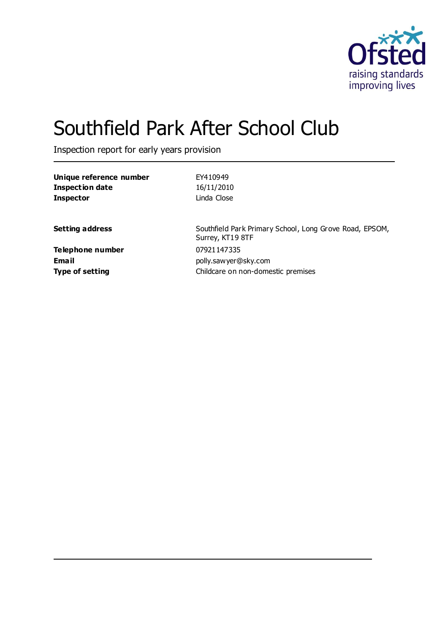

# Southfield Park After School Club

Inspection report for early years provision

| Unique reference number<br><b>Inspection date</b> | EY410949<br>16/11/2010                                                      |
|---------------------------------------------------|-----------------------------------------------------------------------------|
| <b>Inspector</b>                                  | Linda Close                                                                 |
| <b>Setting address</b>                            | Southfield Park Primary School, Long Grove Road, EPSOM,<br>Surrey, KT19 8TF |
| <b>Telephone number</b>                           | 07921147335                                                                 |
| <b>Email</b>                                      | polly.sawyer@sky.com                                                        |
| <b>Type of setting</b>                            | Childcare on non-domestic premises                                          |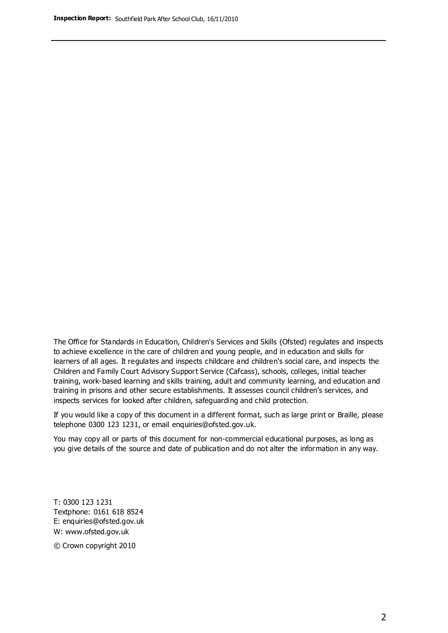The Office for Standards in Education, Children's Services and Skills (Ofsted) regulates and inspects to achieve excellence in the care of children and young people, and in education and skills for learners of all ages. It regulates and inspects childcare and children's social care, and inspects the Children and Family Court Advisory Support Service (Cafcass), schools, colleges, initial teacher training, work-based learning and skills training, adult and community learning, and education and training in prisons and other secure establishments. It assesses council children's services, and inspects services for looked after children, safeguarding and child protection.

If you would like a copy of this document in a different format, such as large print or Braille, please telephone 0300 123 1231, or email enquiries@ofsted.gov.uk.

You may copy all or parts of this document for non-commercial educational purposes, as long as you give details of the source and date of publication and do not alter the information in any way.

T: 0300 123 1231 Textphone: 0161 618 8524 E: enquiries@ofsted.gov.uk W: [www.ofsted.gov.uk](http://www.ofsted.gov.uk/)

© Crown copyright 2010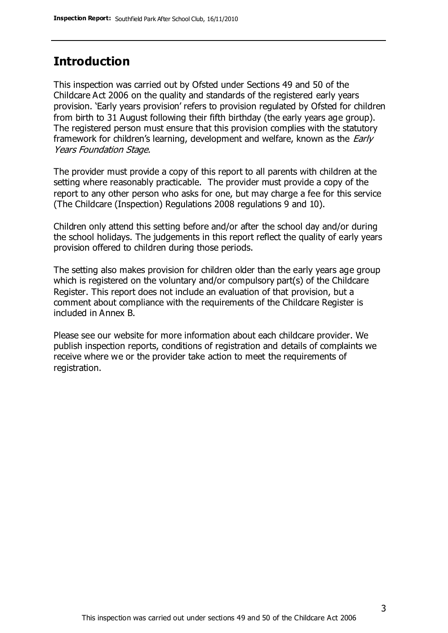### **Introduction**

This inspection was carried out by Ofsted under Sections 49 and 50 of the Childcare Act 2006 on the quality and standards of the registered early years provision. 'Early years provision' refers to provision regulated by Ofsted for children from birth to 31 August following their fifth birthday (the early years age group). The registered person must ensure that this provision complies with the statutory framework for children's learning, development and welfare, known as the *Early* Years Foundation Stage.

The provider must provide a copy of this report to all parents with children at the setting where reasonably practicable. The provider must provide a copy of the report to any other person who asks for one, but may charge a fee for this service (The Childcare (Inspection) Regulations 2008 regulations 9 and 10).

Children only attend this setting before and/or after the school day and/or during the school holidays. The judgements in this report reflect the quality of early years provision offered to children during those periods.

The setting also makes provision for children older than the early years age group which is registered on the voluntary and/or compulsory part(s) of the Childcare Register. This report does not include an evaluation of that provision, but a comment about compliance with the requirements of the Childcare Register is included in Annex B.

Please see our website for more information about each childcare provider. We publish inspection reports, conditions of registration and details of complaints we receive where we or the provider take action to meet the requirements of registration.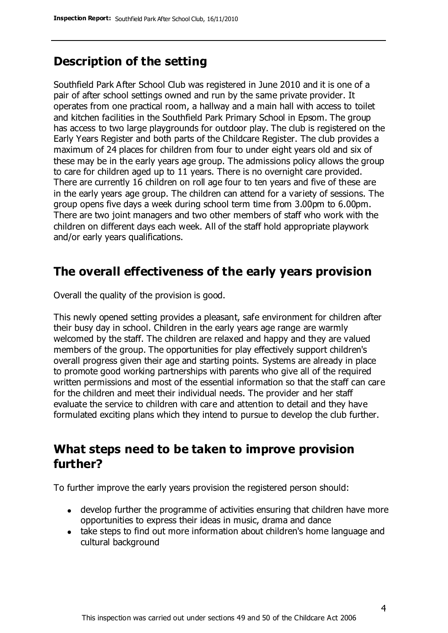## **Description of the setting**

Southfield Park After School Club was registered in June 2010 and it is one of a pair of after school settings owned and run by the same private provider. It operates from one practical room, a hallway and a main hall with access to toilet and kitchen facilities in the Southfield Park Primary School in Epsom. The group has access to two large playgrounds for outdoor play. The club is registered on the Early Years Register and both parts of the Childcare Register. The club provides a maximum of 24 places for children from four to under eight years old and six of these may be in the early years age group. The admissions policy allows the group to care for children aged up to 11 years. There is no overnight care provided. There are currently 16 children on roll age four to ten years and five of these are in the early years age group. The children can attend for a variety of sessions. The group opens five days a week during school term time from 3.00pm to 6.00pm. There are two joint managers and two other members of staff who work with the children on different days each week. All of the staff hold appropriate playwork and/or early years qualifications.

### **The overall effectiveness of the early years provision**

Overall the quality of the provision is good.

This newly opened setting provides a pleasant, safe environment for children after their busy day in school. Children in the early years age range are warmly welcomed by the staff. The children are relaxed and happy and they are valued members of the group. The opportunities for play effectively support children's overall progress given their age and starting points. Systems are already in place to promote good working partnerships with parents who give all of the required written permissions and most of the essential information so that the staff can care for the children and meet their individual needs. The provider and her staff evaluate the service to children with care and attention to detail and they have formulated exciting plans which they intend to pursue to develop the club further.

## **What steps need to be taken to improve provision further?**

To further improve the early years provision the registered person should:

- develop further the programme of activities ensuring that children have more opportunities to express their ideas in music, drama and dance
- take steps to find out more information about children's home language and cultural background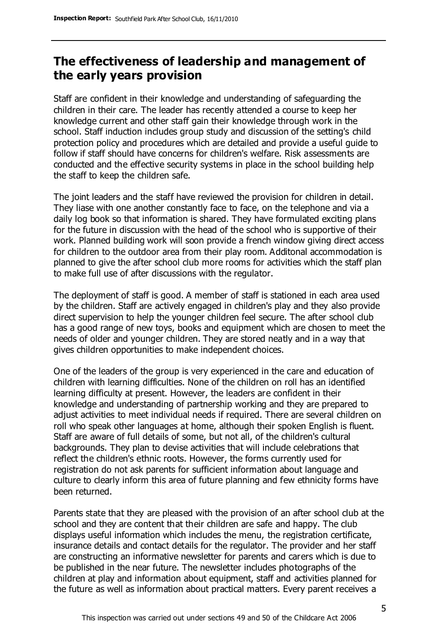# **The effectiveness of leadership and management of the early years provision**

Staff are confident in their knowledge and understanding of safeguarding the children in their care. The leader has recently attended a course to keep her knowledge current and other staff gain their knowledge through work in the school. Staff induction includes group study and discussion of the setting's child protection policy and procedures which are detailed and provide a useful guide to follow if staff should have concerns for children's welfare. Risk assessments are conducted and the effective security systems in place in the school building help the staff to keep the children safe.

The joint leaders and the staff have reviewed the provision for children in detail. They liase with one another constantly face to face, on the telephone and via a daily log book so that information is shared. They have formulated exciting plans for the future in discussion with the head of the school who is supportive of their work. Planned building work will soon provide a french window giving direct access for children to the outdoor area from their play room. Additonal accommodation is planned to give the after school club more rooms for activities which the staff plan to make full use of after discussions with the regulator.

The deployment of staff is good. A member of staff is stationed in each area used by the children. Staff are actively engaged in children's play and they also provide direct supervision to help the younger children feel secure. The after school club has a good range of new toys, books and equipment which are chosen to meet the needs of older and younger children. They are stored neatly and in a way that gives children opportunities to make independent choices.

One of the leaders of the group is very experienced in the care and education of children with learning difficulties. None of the children on roll has an identified learning difficulty at present. However, the leaders are confident in their knowledge and understanding of partnership working and they are prepared to adjust activities to meet individual needs if required. There are several children on roll who speak other languages at home, although their spoken English is fluent. Staff are aware of full details of some, but not all, of the children's cultural backgrounds. They plan to devise activities that will include celebrations that reflect the children's ethnic roots. However, the forms currently used for registration do not ask parents for sufficient information about language and culture to clearly inform this area of future planning and few ethnicity forms have been returned.

Parents state that they are pleased with the provision of an after school club at the school and they are content that their children are safe and happy. The club displays useful information which includes the menu, the registration certificate, insurance details and contact details for the regulator. The provider and her staff are constructing an informative newsletter for parents and carers which is due to be published in the near future. The newsletter includes photographs of the children at play and information about equipment, staff and activities planned for the future as well as information about practical matters. Every parent receives a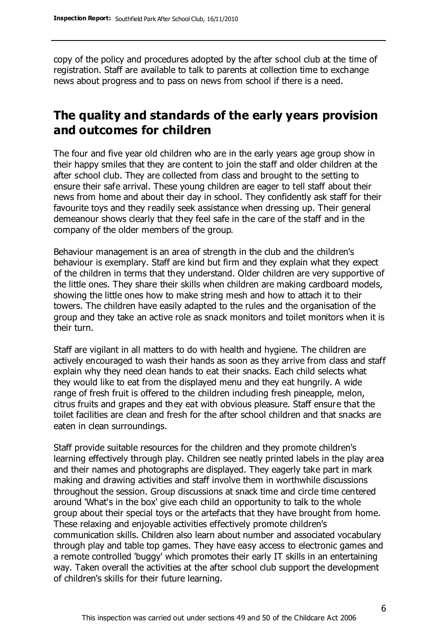copy of the policy and procedures adopted by the after school club at the time of registration. Staff are available to talk to parents at collection time to exchange news about progress and to pass on news from school if there is a need.

# **The quality and standards of the early years provision and outcomes for children**

The four and five year old children who are in the early years age group show in their happy smiles that they are content to join the staff and older children at the after school club. They are collected from class and brought to the setting to ensure their safe arrival. These young children are eager to tell staff about their news from home and about their day in school. They confidently ask staff for their favourite toys and they readily seek assistance when dressing up. Their general demeanour shows clearly that they feel safe in the care of the staff and in the company of the older members of the group.

Behaviour management is an area of strength in the club and the children's behaviour is exemplary. Staff are kind but firm and they explain what they expect of the children in terms that they understand. Older children are very supportive of the little ones. They share their skills when children are making cardboard models, showing the little ones how to make string mesh and how to attach it to their towers. The children have easily adapted to the rules and the organisation of the group and they take an active role as snack monitors and toilet monitors when it is their turn.

Staff are vigilant in all matters to do with health and hygiene. The children are actively encouraged to wash their hands as soon as they arrive from class and staff explain why they need clean hands to eat their snacks. Each child selects what they would like to eat from the displayed menu and they eat hungrily. A wide range of fresh fruit is offered to the children including fresh pineapple, melon, citrus fruits and grapes and they eat with obvious pleasure. Staff ensure that the toilet facilities are clean and fresh for the after school children and that snacks are eaten in clean surroundings.

Staff provide suitable resources for the children and they promote children's learning effectively through play. Children see neatly printed labels in the play area and their names and photographs are displayed. They eagerly take part in mark making and drawing activities and staff involve them in worthwhile discussions throughout the session. Group discussions at snack time and circle time centered around 'What's in the box' give each child an opportunity to talk to the whole group about their special toys or the artefacts that they have brought from home. These relaxing and enjoyable activities effectively promote children's communication skills. Children also learn about number and associated vocabulary through play and table top games. They have easy access to electronic games and a remote controlled 'buggy' which promotes their early IT skills in an entertaining way. Taken overall the activities at the after school club support the development of children's skills for their future learning.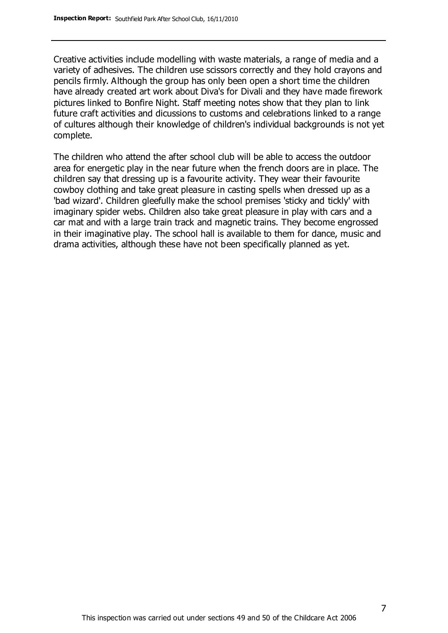Creative activities include modelling with waste materials, a range of media and a variety of adhesives. The children use scissors correctly and they hold crayons and pencils firmly. Although the group has only been open a short time the children have already created art work about Diva's for Divali and they have made firework pictures linked to Bonfire Night. Staff meeting notes show that they plan to link future craft activities and dicussions to customs and celebrations linked to a range of cultures although their knowledge of children's individual backgrounds is not yet complete.

The children who attend the after school club will be able to access the outdoor area for energetic play in the near future when the french doors are in place. The children say that dressing up is a favourite activity. They wear their favourite cowboy clothing and take great pleasure in casting spells when dressed up as a 'bad wizard'. Children gleefully make the school premises 'sticky and tickly' with imaginary spider webs. Children also take great pleasure in play with cars and a car mat and with a large train track and magnetic trains. They become engrossed in their imaginative play. The school hall is available to them for dance, music and drama activities, although these have not been specifically planned as yet.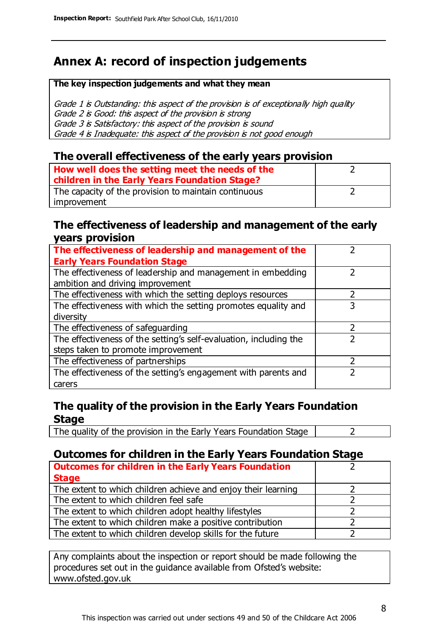# **Annex A: record of inspection judgements**

#### **The key inspection judgements and what they mean**

Grade 1 is Outstanding: this aspect of the provision is of exceptionally high quality Grade 2 is Good: this aspect of the provision is strong Grade 3 is Satisfactory: this aspect of the provision is sound Grade 4 is Inadequate: this aspect of the provision is not good enough

### **The overall effectiveness of the early years provision**

| How well does the setting meet the needs of the<br>children in the Early Years Foundation Stage? |  |
|--------------------------------------------------------------------------------------------------|--|
| The capacity of the provision to maintain continuous                                             |  |
| improvement                                                                                      |  |

### **The effectiveness of leadership and management of the early years provision**

| The effectiveness of leadership and management of the             |   |
|-------------------------------------------------------------------|---|
| <b>Early Years Foundation Stage</b>                               |   |
| The effectiveness of leadership and management in embedding       |   |
| ambition and driving improvement                                  |   |
| The effectiveness with which the setting deploys resources        |   |
| The effectiveness with which the setting promotes equality and    | 3 |
| diversity                                                         |   |
| The effectiveness of safeguarding                                 |   |
| The effectiveness of the setting's self-evaluation, including the |   |
| steps taken to promote improvement                                |   |
| The effectiveness of partnerships                                 |   |
| The effectiveness of the setting's engagement with parents and    |   |
| carers                                                            |   |

### **The quality of the provision in the Early Years Foundation Stage**

The quality of the provision in the Early Years Foundation Stage  $\vert$  2

### **Outcomes for children in the Early Years Foundation Stage**

| <b>Outcomes for children in the Early Years Foundation</b>    |  |
|---------------------------------------------------------------|--|
| <b>Stage</b>                                                  |  |
| The extent to which children achieve and enjoy their learning |  |
| The extent to which children feel safe                        |  |
| The extent to which children adopt healthy lifestyles         |  |
| The extent to which children make a positive contribution     |  |
| The extent to which children develop skills for the future    |  |

Any complaints about the inspection or report should be made following the procedures set out in the guidance available from Ofsted's website: www.ofsted.gov.uk